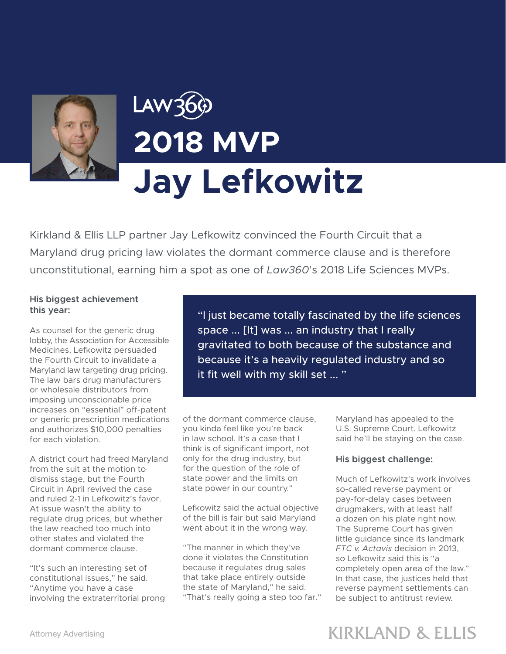

# Law36 **2018 MVP Jay Lefkowitz**

Kirkland & Ellis LLP partner Jay Lefkowitz convinced the Fourth Circuit that a Maryland drug pricing law violates the dormant commerce clause and is therefore unconstitutional, earning him a spot as one of *Law360*'s 2018 Life Sciences MVPs.

### **His biggest achievement this year:**

As counsel for the generic drug lobby, the Association for Accessible Medicines, Lefkowitz persuaded the Fourth Circuit to invalidate a Maryland law targeting drug pricing. The law bars drug manufacturers or wholesale distributors from imposing unconscionable price increases on "essential" off-patent or generic prescription medications and authorizes \$10,000 penalties for each violation.

A district court had freed Maryland from the suit at the motion to dismiss stage, but the Fourth Circuit in April revived the case and ruled 2-1 in Lefkowitz's favor. At issue wasn't the ability to regulate drug prices, but whether the law reached too much into other states and violated the dormant commerce clause.

"It's such an interesting set of constitutional issues," he said. "Anytime you have a case involving the extraterritorial prong

"I just became totally fascinated by the life sciences space ... [It] was ... an industry that I really gravitated to both because of the substance and because it's a heavily regulated industry and so it fit well with my skill set ... "

of the dormant commerce clause, you kinda feel like you're back in law school. It's a case that I think is of significant import, not only for the drug industry, but for the question of the role of state power and the limits on state power in our country."

Lefkowitz said the actual objective of the bill is fair but said Maryland went about it in the wrong way.

"The manner in which they've done it violates the Constitution because it regulates drug sales that take place entirely outside the state of Maryland," he said. "That's really going a step too far." Maryland has appealed to the U.S. Supreme Court. Lefkowitz said he'll be staying on the case.

### **His biggest challenge:**

Much of Lefkowitz's work involves so-called reverse payment or pay-for-delay cases between drugmakers, with at least half a dozen on his plate right now. The Supreme Court has given little guidance since its landmark *FTC v. Actavis* decision in 2013, so Lefkowitz said this is "a completely open area of the law." In that case, the justices held that reverse payment settlements can be subject to antitrust review.

## **KIRKLAND & ELLIS**